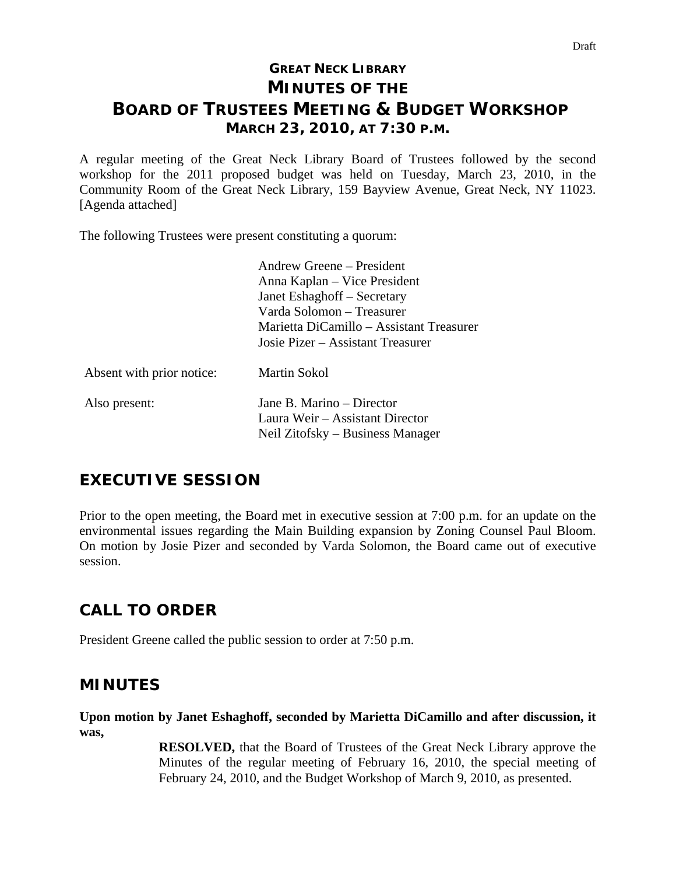# **GREAT NECK LIBRARY MINUTES OF THE BOARD OF TRUSTEES MEETING & BUDGET WORKSHOP MARCH 23, 2010, AT 7:30 P.M.**

A regular meeting of the Great Neck Library Board of Trustees followed by the second workshop for the 2011 proposed budget was held on Tuesday, March 23, 2010, in the Community Room of the Great Neck Library, 159 Bayview Avenue, Great Neck, NY 11023. [Agenda attached]

The following Trustees were present constituting a quorum:

|                           | Andrew Greene – President                |
|---------------------------|------------------------------------------|
|                           | Anna Kaplan – Vice President             |
|                           | Janet Eshaghoff - Secretary              |
|                           | Varda Solomon – Treasurer                |
|                           | Marietta DiCamillo – Assistant Treasurer |
|                           | Josie Pizer – Assistant Treasurer        |
| Absent with prior notice: | <b>Martin Sokol</b>                      |
| Also present:             | Jane B. Marino – Director                |
|                           | Laura Weir – Assistant Director          |
|                           | Neil Zitofsky – Business Manager         |

## **EXECUTIVE SESSION**

Prior to the open meeting, the Board met in executive session at 7:00 p.m. for an update on the environmental issues regarding the Main Building expansion by Zoning Counsel Paul Bloom. On motion by Josie Pizer and seconded by Varda Solomon, the Board came out of executive session.

# **CALL TO ORDER**

President Greene called the public session to order at 7:50 p.m.

## **MINUTES**

**Upon motion by Janet Eshaghoff, seconded by Marietta DiCamillo and after discussion, it was,** 

> **RESOLVED,** that the Board of Trustees of the Great Neck Library approve the Minutes of the regular meeting of February 16, 2010, the special meeting of February 24, 2010, and the Budget Workshop of March 9, 2010, as presented.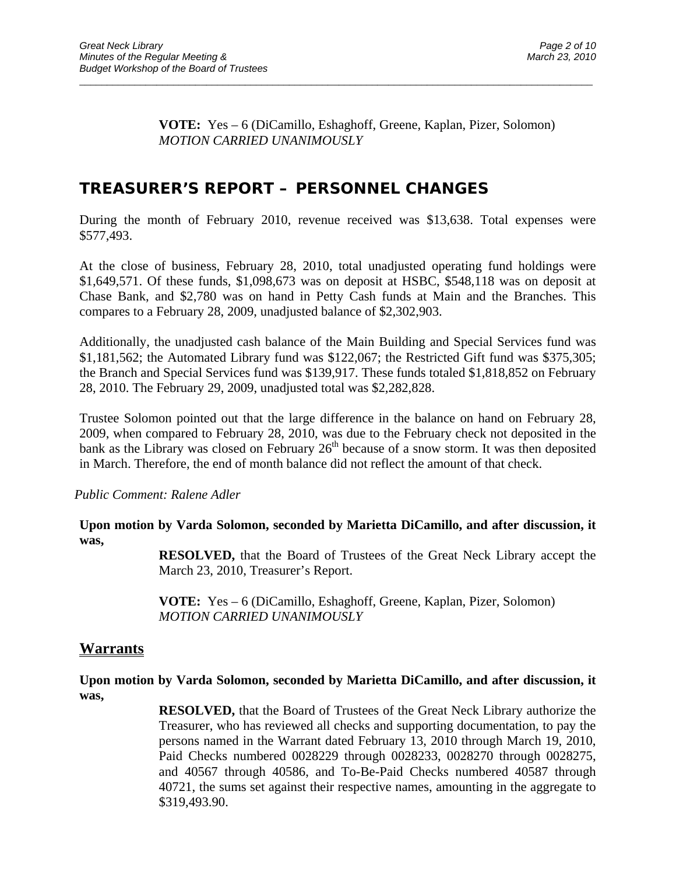$\overline{a}$  , and the contribution of the contribution of the contribution of the contribution of the contribution of the contribution of the contribution of the contribution of the contribution of the contribution of the co

## **TREASURER'S REPORT – PERSONNEL CHANGES**

During the month of February 2010, revenue received was \$13,638. Total expenses were \$577,493.

At the close of business, February 28, 2010, total unadjusted operating fund holdings were \$1,649,571. Of these funds, \$1,098,673 was on deposit at HSBC, \$548,118 was on deposit at Chase Bank, and \$2,780 was on hand in Petty Cash funds at Main and the Branches. This compares to a February 28, 2009, unadjusted balance of \$2,302,903.

Additionally, the unadjusted cash balance of the Main Building and Special Services fund was \$1,181,562; the Automated Library fund was \$122,067; the Restricted Gift fund was \$375,305; the Branch and Special Services fund was \$139,917. These funds totaled \$1,818,852 on February 28, 2010. The February 29, 2009, unadjusted total was \$2,282,828.

Trustee Solomon pointed out that the large difference in the balance on hand on February 28, 2009, when compared to February 28, 2010, was due to the February check not deposited in the bank as the Library was closed on February  $26<sup>th</sup>$  because of a snow storm. It was then deposited in March. Therefore, the end of month balance did not reflect the amount of that check.

*Public Comment: Ralene Adler* 

**Upon motion by Varda Solomon, seconded by Marietta DiCamillo, and after discussion, it was,** 

> **RESOLVED,** that the Board of Trustees of the Great Neck Library accept the March 23, 2010, Treasurer's Report.

 **VOTE:** Yes – 6 (DiCamillo, Eshaghoff, Greene, Kaplan, Pizer, Solomon)  *MOTION CARRIED UNANIMOUSLY* 

### **Warrants**

**Upon motion by Varda Solomon, seconded by Marietta DiCamillo, and after discussion, it was,** 

> **RESOLVED,** that the Board of Trustees of the Great Neck Library authorize the Treasurer, who has reviewed all checks and supporting documentation, to pay the persons named in the Warrant dated February 13, 2010 through March 19, 2010, Paid Checks numbered 0028229 through 0028233, 0028270 through 0028275, and 40567 through 40586, and To-Be-Paid Checks numbered 40587 through 40721, the sums set against their respective names, amounting in the aggregate to \$319,493.90.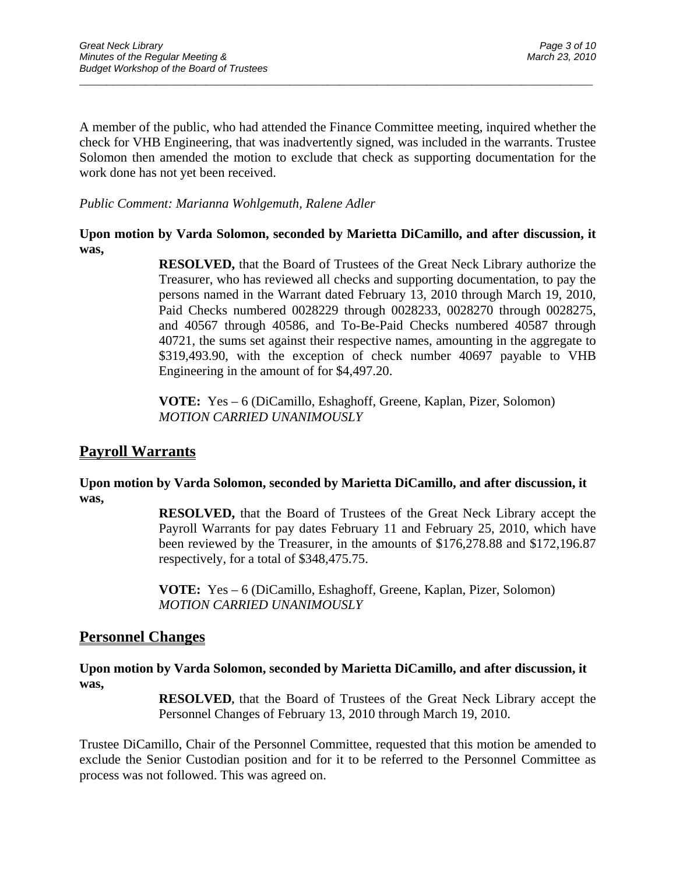A member of the public, who had attended the Finance Committee meeting, inquired whether the check for VHB Engineering, that was inadvertently signed, was included in the warrants. Trustee Solomon then amended the motion to exclude that check as supporting documentation for the work done has not yet been received.

 $\overline{a}$  , and the contribution of the contribution of the contribution of the contribution of the contribution of the contribution of the contribution of the contribution of the contribution of the contribution of the co

*Public Comment: Marianna Wohlgemuth, Ralene Adler* 

### **Upon motion by Varda Solomon, seconded by Marietta DiCamillo, and after discussion, it was,**

**RESOLVED,** that the Board of Trustees of the Great Neck Library authorize the Treasurer, who has reviewed all checks and supporting documentation, to pay the persons named in the Warrant dated February 13, 2010 through March 19, 2010, Paid Checks numbered 0028229 through 0028233, 0028270 through 0028275, and 40567 through 40586, and To-Be-Paid Checks numbered 40587 through 40721, the sums set against their respective names, amounting in the aggregate to \$319,493.90, with the exception of check number 40697 payable to VHB Engineering in the amount of for \$4,497.20.

**VOTE:** Yes – 6 (DiCamillo, Eshaghoff, Greene, Kaplan, Pizer, Solomon) *MOTION CARRIED UNANIMOUSLY* 

## **Payroll Warrants**

### **Upon motion by Varda Solomon, seconded by Marietta DiCamillo, and after discussion, it was,**

**RESOLVED,** that the Board of Trustees of the Great Neck Library accept the Payroll Warrants for pay dates February 11 and February 25, 2010, which have been reviewed by the Treasurer, in the amounts of \$176,278.88 and \$172,196.87 respectively, for a total of \$348,475.75.

**VOTE:** Yes – 6 (DiCamillo, Eshaghoff, Greene, Kaplan, Pizer, Solomon) *MOTION CARRIED UNANIMOUSLY* 

### **Personnel Changes**

**Upon motion by Varda Solomon, seconded by Marietta DiCamillo, and after discussion, it was,** 

> **RESOLVED,** that the Board of Trustees of the Great Neck Library accept the Personnel Changes of February 13, 2010 through March 19, 2010.

Trustee DiCamillo, Chair of the Personnel Committee, requested that this motion be amended to exclude the Senior Custodian position and for it to be referred to the Personnel Committee as process was not followed. This was agreed on.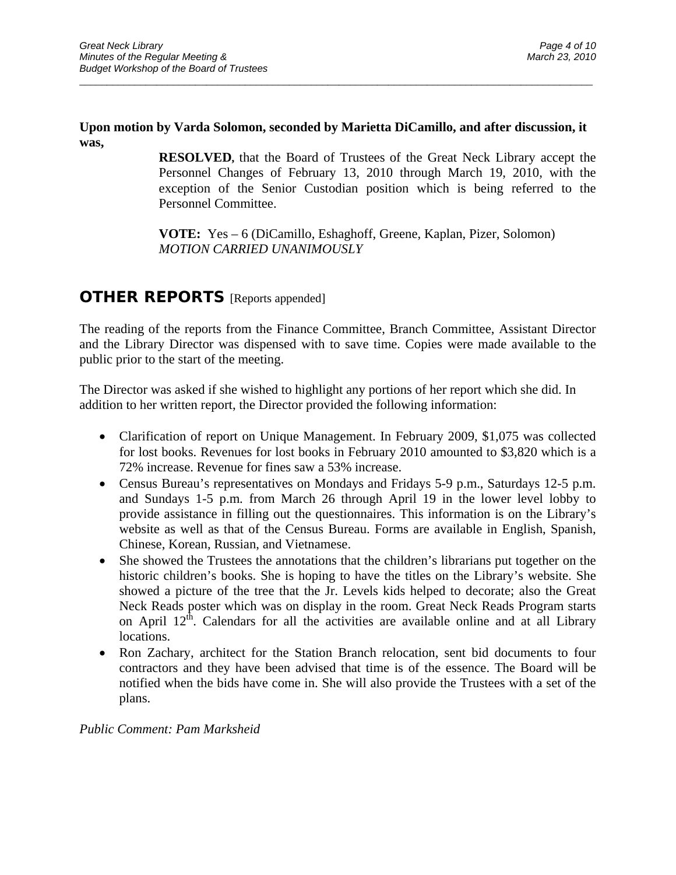#### **Upon motion by Varda Solomon, seconded by Marietta DiCamillo, and after discussion, it was,**

 $\overline{a}$  , and the contribution of the contribution of the contribution of the contribution of the contribution of the contribution of the contribution of the contribution of the contribution of the contribution of the co

**RESOLVED,** that the Board of Trustees of the Great Neck Library accept the Personnel Changes of February 13, 2010 through March 19, 2010, with the exception of the Senior Custodian position which is being referred to the Personnel Committee.

**VOTE:** Yes – 6 (DiCamillo, Eshaghoff, Greene, Kaplan, Pizer, Solomon) *MOTION CARRIED UNANIMOUSLY* 

### **OTHER REPORTS** [Reports appended]

The reading of the reports from the Finance Committee, Branch Committee, Assistant Director and the Library Director was dispensed with to save time. Copies were made available to the public prior to the start of the meeting.

The Director was asked if she wished to highlight any portions of her report which she did. In addition to her written report, the Director provided the following information:

- Clarification of report on Unique Management. In February 2009, \$1,075 was collected for lost books. Revenues for lost books in February 2010 amounted to \$3,820 which is a 72% increase. Revenue for fines saw a 53% increase.
- Census Bureau's representatives on Mondays and Fridays 5-9 p.m., Saturdays 12-5 p.m. and Sundays 1-5 p.m. from March 26 through April 19 in the lower level lobby to provide assistance in filling out the questionnaires. This information is on the Library's website as well as that of the Census Bureau. Forms are available in English, Spanish, Chinese, Korean, Russian, and Vietnamese.
- She showed the Trustees the annotations that the children's librarians put together on the historic children's books. She is hoping to have the titles on the Library's website. She showed a picture of the tree that the Jr. Levels kids helped to decorate; also the Great Neck Reads poster which was on display in the room. Great Neck Reads Program starts on April  $12<sup>th</sup>$ . Calendars for all the activities are available online and at all Library locations.
- Ron Zachary, architect for the Station Branch relocation, sent bid documents to four contractors and they have been advised that time is of the essence. The Board will be notified when the bids have come in. She will also provide the Trustees with a set of the plans.

*Public Comment: Pam Marksheid*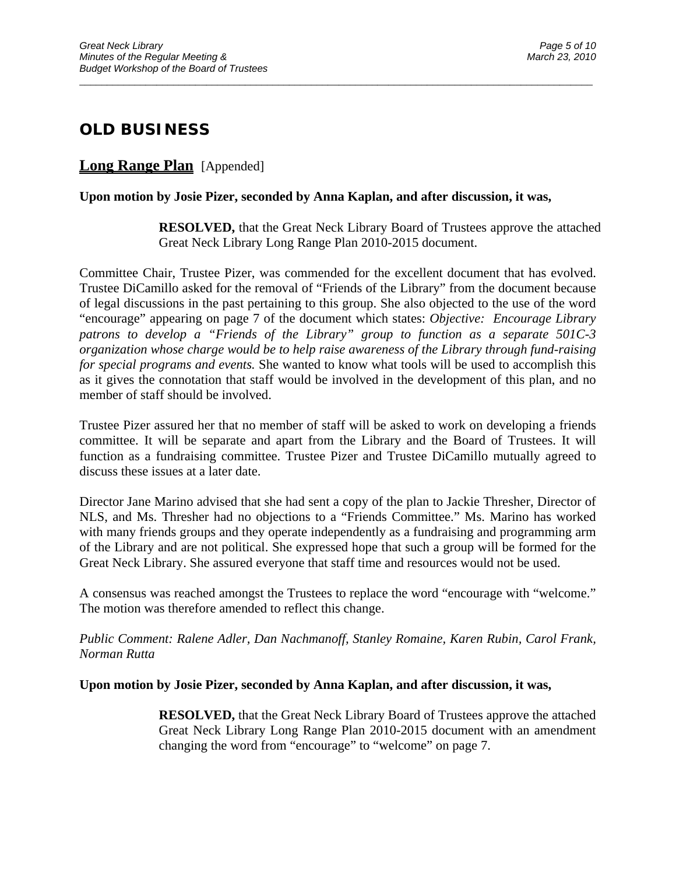# **OLD BUSINESS**

### **Long Range Plan** [Appended]

#### **Upon motion by Josie Pizer, seconded by Anna Kaplan, and after discussion, it was,**

 $\overline{a}$  , and the contribution of the contribution of the contribution of the contribution of the contribution of the contribution of the contribution of the contribution of the contribution of the contribution of the co

**RESOLVED,** that the Great Neck Library Board of Trustees approve the attached Great Neck Library Long Range Plan 2010-2015 document.

Committee Chair, Trustee Pizer, was commended for the excellent document that has evolved. Trustee DiCamillo asked for the removal of "Friends of the Library" from the document because of legal discussions in the past pertaining to this group. She also objected to the use of the word "encourage" appearing on page 7 of the document which states: *Objective: Encourage Library patrons to develop a "Friends of the Library" group to function as a separate 501C-3 organization whose charge would be to help raise awareness of the Library through fund-raising for special programs and events.* She wanted to know what tools will be used to accomplish this as it gives the connotation that staff would be involved in the development of this plan, and no member of staff should be involved.

Trustee Pizer assured her that no member of staff will be asked to work on developing a friends committee. It will be separate and apart from the Library and the Board of Trustees. It will function as a fundraising committee. Trustee Pizer and Trustee DiCamillo mutually agreed to discuss these issues at a later date.

Director Jane Marino advised that she had sent a copy of the plan to Jackie Thresher, Director of NLS, and Ms. Thresher had no objections to a "Friends Committee." Ms. Marino has worked with many friends groups and they operate independently as a fundraising and programming arm of the Library and are not political. She expressed hope that such a group will be formed for the Great Neck Library. She assured everyone that staff time and resources would not be used.

A consensus was reached amongst the Trustees to replace the word "encourage with "welcome." The motion was therefore amended to reflect this change.

*Public Comment: Ralene Adler, Dan Nachmanoff, Stanley Romaine, Karen Rubin, Carol Frank, Norman Rutta* 

#### **Upon motion by Josie Pizer, seconded by Anna Kaplan, and after discussion, it was,**

**RESOLVED,** that the Great Neck Library Board of Trustees approve the attached Great Neck Library Long Range Plan 2010-2015 document with an amendment changing the word from "encourage" to "welcome" on page 7.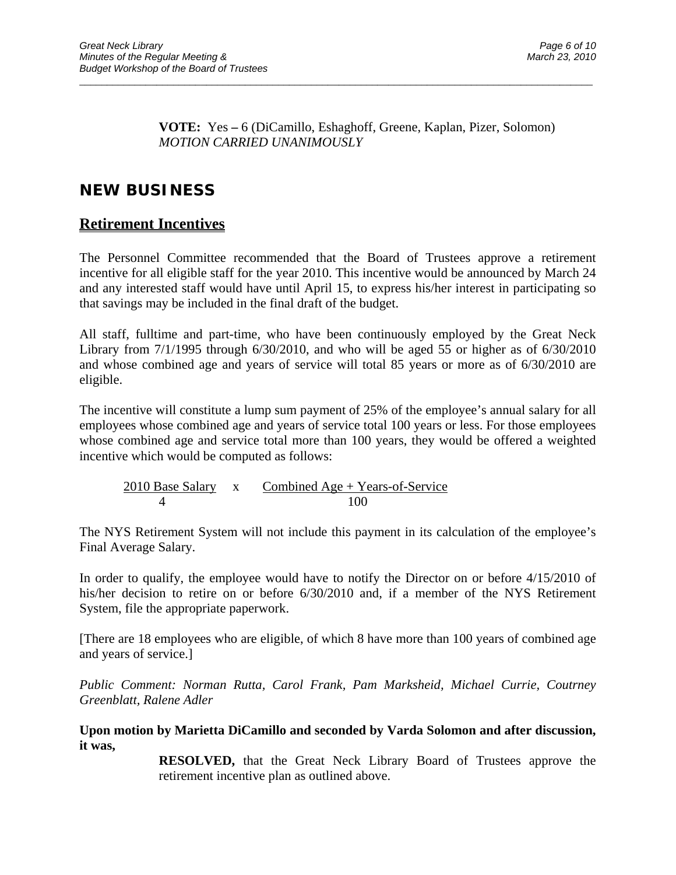$\overline{a}$  , and the contribution of the contribution of the contribution of the contribution of the contribution of the contribution of the contribution of the contribution of the contribution of the contribution of the co

# **NEW BUSINESS**

## **Retirement Incentives**

The Personnel Committee recommended that the Board of Trustees approve a retirement incentive for all eligible staff for the year 2010. This incentive would be announced by March 24 and any interested staff would have until April 15, to express his/her interest in participating so that savings may be included in the final draft of the budget.

All staff, fulltime and part-time, who have been continuously employed by the Great Neck Library from 7/1/1995 through 6/30/2010, and who will be aged 55 or higher as of 6/30/2010 and whose combined age and years of service will total 85 years or more as of 6/30/2010 are eligible.

The incentive will constitute a lump sum payment of 25% of the employee's annual salary for all employees whose combined age and years of service total 100 years or less. For those employees whose combined age and service total more than 100 years, they would be offered a weighted incentive which would be computed as follows:

2010 Base Salary x Combined Age + Years-of-Service 4 100

The NYS Retirement System will not include this payment in its calculation of the employee's Final Average Salary.

In order to qualify, the employee would have to notify the Director on or before 4/15/2010 of his/her decision to retire on or before  $6/30/2010$  and, if a member of the NYS Retirement System, file the appropriate paperwork.

[There are 18 employees who are eligible, of which 8 have more than 100 years of combined age and years of service.]

*Public Comment: Norman Rutta, Carol Frank, Pam Marksheid, Michael Currie, Coutrney Greenblatt, Ralene Adler* 

### **Upon motion by Marietta DiCamillo and seconded by Varda Solomon and after discussion, it was,**

**RESOLVED,** that the Great Neck Library Board of Trustees approve the retirement incentive plan as outlined above.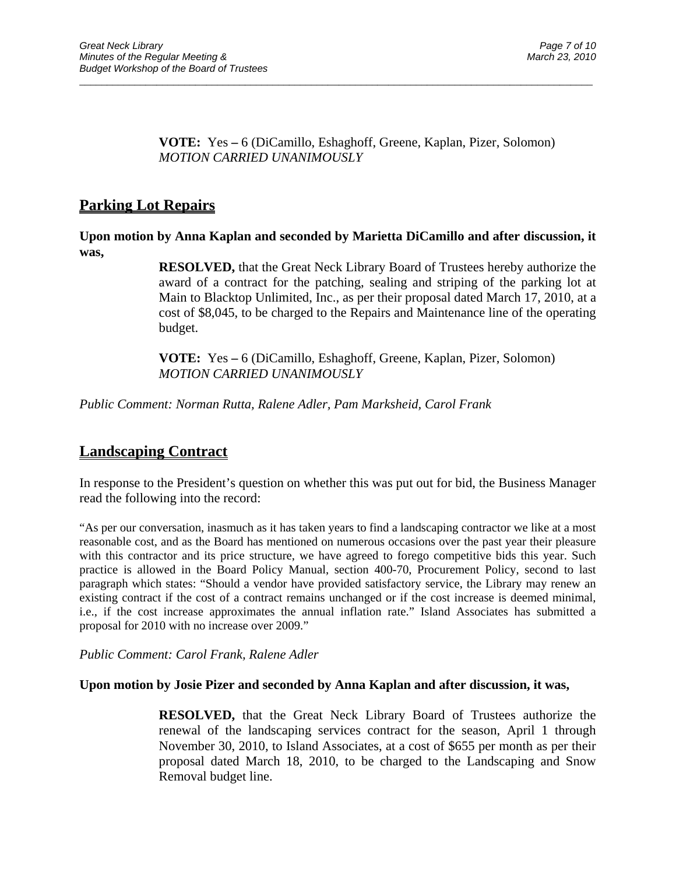$\overline{a}$  , and the contribution of the contribution of the contribution of the contribution of the contribution of the contribution of the contribution of the contribution of the contribution of the contribution of the co

## **Parking Lot Repairs**

**Upon motion by Anna Kaplan and seconded by Marietta DiCamillo and after discussion, it was,** 

> **RESOLVED,** that the Great Neck Library Board of Trustees hereby authorize the award of a contract for the patching, sealing and striping of the parking lot at Main to Blacktop Unlimited, Inc., as per their proposal dated March 17, 2010, at a cost of \$8,045, to be charged to the Repairs and Maintenance line of the operating budget.

 **VOTE:** Yes **–** 6 (DiCamillo, Eshaghoff, Greene, Kaplan, Pizer, Solomon)  *MOTION CARRIED UNANIMOUSLY* 

*Public Comment: Norman Rutta, Ralene Adler, Pam Marksheid, Carol Frank* 

## **Landscaping Contract**

In response to the President's question on whether this was put out for bid, the Business Manager read the following into the record:

"As per our conversation, inasmuch as it has taken years to find a landscaping contractor we like at a most reasonable cost, and as the Board has mentioned on numerous occasions over the past year their pleasure with this contractor and its price structure, we have agreed to forego competitive bids this year. Such practice is allowed in the Board Policy Manual, section 400-70, Procurement Policy, second to last paragraph which states: "Should a vendor have provided satisfactory service, the Library may renew an existing contract if the cost of a contract remains unchanged or if the cost increase is deemed minimal, i.e., if the cost increase approximates the annual inflation rate." Island Associates has submitted a proposal for 2010 with no increase over 2009."

*Public Comment: Carol Frank, Ralene Adler* 

#### **Upon motion by Josie Pizer and seconded by Anna Kaplan and after discussion, it was,**

**RESOLVED,** that the Great Neck Library Board of Trustees authorize the renewal of the landscaping services contract for the season, April 1 through November 30, 2010, to Island Associates, at a cost of \$655 per month as per their proposal dated March 18, 2010, to be charged to the Landscaping and Snow Removal budget line.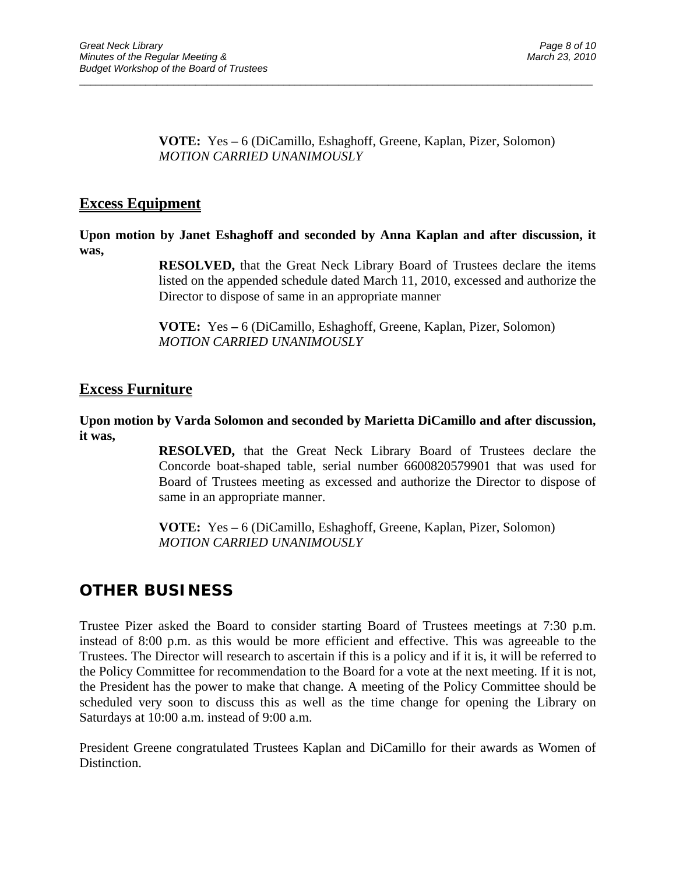$\overline{a}$  , and the contribution of the contribution of the contribution of the contribution of the contribution of the contribution of the contribution of the contribution of the contribution of the contribution of the co

### **Excess Equipment**

**Upon motion by Janet Eshaghoff and seconded by Anna Kaplan and after discussion, it was,** 

> **RESOLVED,** that the Great Neck Library Board of Trustees declare the items listed on the appended schedule dated March 11, 2010, excessed and authorize the Director to dispose of same in an appropriate manner

 **VOTE:** Yes **–** 6 (DiCamillo, Eshaghoff, Greene, Kaplan, Pizer, Solomon)  *MOTION CARRIED UNANIMOUSLY* 

### **Excess Furniture**

### **Upon motion by Varda Solomon and seconded by Marietta DiCamillo and after discussion, it was,**

**RESOLVED,** that the Great Neck Library Board of Trustees declare the Concorde boat-shaped table, serial number 6600820579901 that was used for Board of Trustees meeting as excessed and authorize the Director to dispose of same in an appropriate manner.

 **VOTE:** Yes **–** 6 (DiCamillo, Eshaghoff, Greene, Kaplan, Pizer, Solomon)  *MOTION CARRIED UNANIMOUSLY* 

## **OTHER BUSINESS**

Trustee Pizer asked the Board to consider starting Board of Trustees meetings at 7:30 p.m. instead of 8:00 p.m. as this would be more efficient and effective. This was agreeable to the Trustees. The Director will research to ascertain if this is a policy and if it is, it will be referred to the Policy Committee for recommendation to the Board for a vote at the next meeting. If it is not, the President has the power to make that change. A meeting of the Policy Committee should be scheduled very soon to discuss this as well as the time change for opening the Library on Saturdays at 10:00 a.m. instead of 9:00 a.m.

President Greene congratulated Trustees Kaplan and DiCamillo for their awards as Women of Distinction.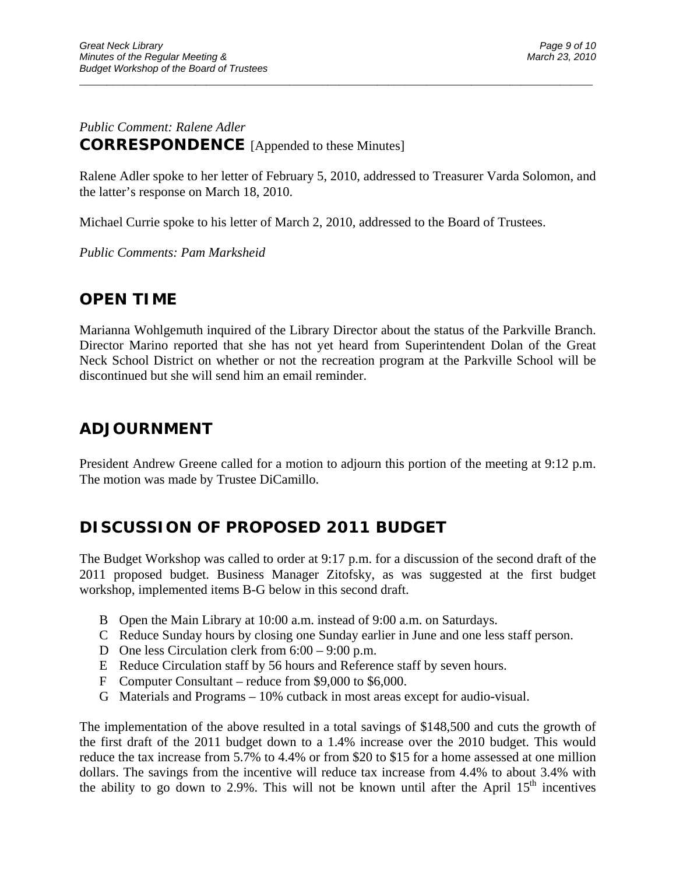### *Public Comment: Ralene Adler*  **CORRESPONDENCE** [Appended to these Minutes]

Ralene Adler spoke to her letter of February 5, 2010, addressed to Treasurer Varda Solomon, and the latter's response on March 18, 2010.

 $\overline{a}$  , and the contribution of the contribution of the contribution of the contribution of the contribution of the contribution of the contribution of the contribution of the contribution of the contribution of the co

Michael Currie spoke to his letter of March 2, 2010, addressed to the Board of Trustees.

*Public Comments: Pam Marksheid* 

## **OPEN TIME**

Marianna Wohlgemuth inquired of the Library Director about the status of the Parkville Branch. Director Marino reported that she has not yet heard from Superintendent Dolan of the Great Neck School District on whether or not the recreation program at the Parkville School will be discontinued but she will send him an email reminder.

## **ADJOURNMENT**

President Andrew Greene called for a motion to adjourn this portion of the meeting at 9:12 p.m. The motion was made by Trustee DiCamillo.

# **DISCUSSION OF PROPOSED 2011 BUDGET**

The Budget Workshop was called to order at 9:17 p.m. for a discussion of the second draft of the 2011 proposed budget. Business Manager Zitofsky, as was suggested at the first budget workshop, implemented items B-G below in this second draft.

- B Open the Main Library at 10:00 a.m. instead of 9:00 a.m. on Saturdays.
- C Reduce Sunday hours by closing one Sunday earlier in June and one less staff person.
- D One less Circulation clerk from 6:00 9:00 p.m.
- E Reduce Circulation staff by 56 hours and Reference staff by seven hours.
- F Computer Consultant reduce from \$9,000 to \$6,000.
- G Materials and Programs 10% cutback in most areas except for audio-visual.

The implementation of the above resulted in a total savings of \$148,500 and cuts the growth of the first draft of the 2011 budget down to a 1.4% increase over the 2010 budget. This would reduce the tax increase from 5.7% to 4.4% or from \$20 to \$15 for a home assessed at one million dollars. The savings from the incentive will reduce tax increase from 4.4% to about 3.4% with the ability to go down to 2.9%. This will not be known until after the April  $15<sup>th</sup>$  incentives